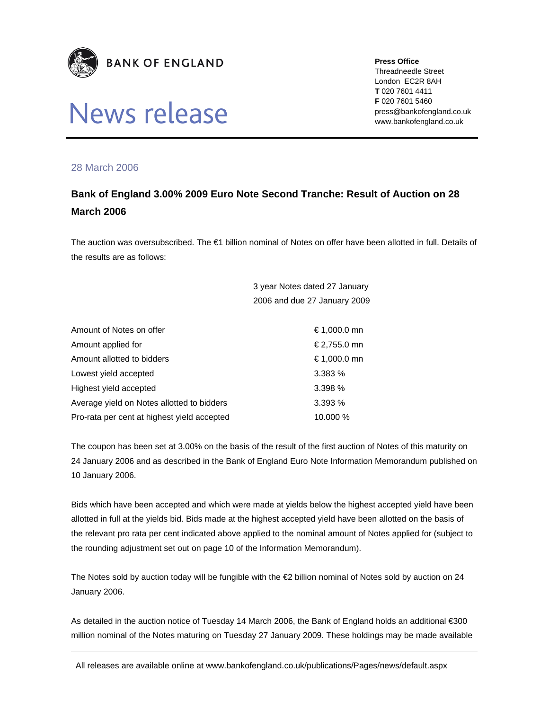

## News release

**Press Office** 

Threadneedle Street London EC2R 8AH **T** 020 7601 4411 **F** 020 7601 5460 press@bankofengland.co.uk www.bankofengland.co.uk

## 28 March 2006

## **Bank of England 3.00% 2009 Euro Note Second Tranche: Result of Auction on 28 March 2006**

The auction was oversubscribed. The €1 billion nominal of Notes on offer have been allotted in full. Details of the results are as follows:

> 3 year Notes dated 27 January 2006 and due 27 January 2009

| Amount of Notes on offer                    | € 1,000.0 mn |
|---------------------------------------------|--------------|
| Amount applied for                          | €2,755.0 mn  |
| Amount allotted to bidders                  | € 1,000.0 mn |
| Lowest yield accepted                       | 3.383%       |
| Highest yield accepted                      | 3.398 %      |
| Average yield on Notes allotted to bidders  | 3.393%       |
| Pro-rata per cent at highest yield accepted | 10.000 %     |

The coupon has been set at 3.00% on the basis of the result of the first auction of Notes of this maturity on 24 January 2006 and as described in the Bank of England Euro Note Information Memorandum published on 10 January 2006.

Bids which have been accepted and which were made at yields below the highest accepted yield have been allotted in full at the yields bid. Bids made at the highest accepted yield have been allotted on the basis of the relevant pro rata per cent indicated above applied to the nominal amount of Notes applied for (subject to the rounding adjustment set out on page 10 of the Information Memorandum).

The Notes sold by auction today will be fungible with the €2 billion nominal of Notes sold by auction on 24 January 2006.

As detailed in the auction notice of Tuesday 14 March 2006, the Bank of England holds an additional €300 million nominal of the Notes maturing on Tuesday 27 January 2009. These holdings may be made available